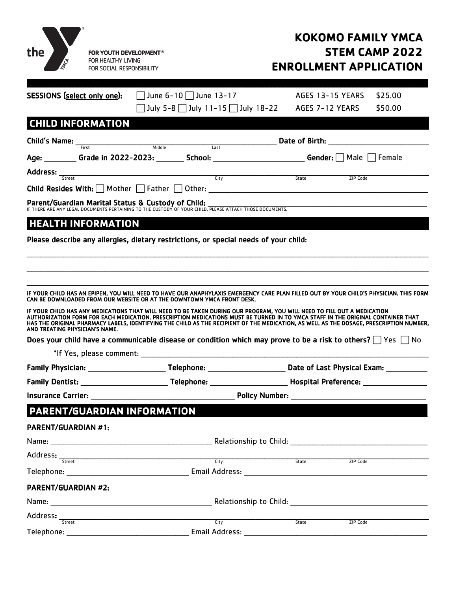

# **KOKOMO FAMILY YMCA STEM CAMP 2022 ENROLLMENT APPLICATION**

| SESSIONS (select only one):                        | $\Box$ June 6-10 $\Box$ June 13-17                                                                                      | AGES 13-15 YEARS<br>\$25.00                                                                                                                                                                                                                                                |
|----------------------------------------------------|-------------------------------------------------------------------------------------------------------------------------|----------------------------------------------------------------------------------------------------------------------------------------------------------------------------------------------------------------------------------------------------------------------------|
|                                                    | ] July 5-8 □ July 11-15 □ July 18-22                                                                                    | AGES 7-12 YEARS<br>\$50.00                                                                                                                                                                                                                                                 |
| <b>CHILD INFORMATION</b>                           |                                                                                                                         |                                                                                                                                                                                                                                                                            |
|                                                    | <b>Child's Name:</b> First Middle Middle Last                                                                           |                                                                                                                                                                                                                                                                            |
|                                                    |                                                                                                                         | Age: _________ Grade in 2022-2023: _______ School: __________________________Gender: [ ] Male [ ] Female                                                                                                                                                                   |
|                                                    | <b>Address:</b> <u>Street City</u>                                                                                      |                                                                                                                                                                                                                                                                            |
|                                                    |                                                                                                                         | ZIP Code<br>State                                                                                                                                                                                                                                                          |
| Parent/Guardian Marital Status & Custody of Child: |                                                                                                                         |                                                                                                                                                                                                                                                                            |
|                                                    | IF THERE ARE ANY LEGAL DOCUMENTS PERTAINING TO THE CUSTODY OF YOUR CHILD, PLEASE ATTACH THOSE DOCUMENTS.                |                                                                                                                                                                                                                                                                            |
| <b>HEALTH INFORMATION</b>                          |                                                                                                                         |                                                                                                                                                                                                                                                                            |
|                                                    | Please describe any allergies, dietary restrictions, or special needs of your child:                                    |                                                                                                                                                                                                                                                                            |
|                                                    |                                                                                                                         |                                                                                                                                                                                                                                                                            |
|                                                    |                                                                                                                         |                                                                                                                                                                                                                                                                            |
|                                                    |                                                                                                                         |                                                                                                                                                                                                                                                                            |
|                                                    | CAN BE DOWNLOADED FROM OUR WEBSITE OR AT THE DOWNTOWN YMCA FRONT DESK.                                                  | IF YOUR CHILD HAS AN EPIPEN, YOU WILL NEED TO HAVE OUR ANAPHYLAXIS EMERGENCY CARE PLAN FILLED OUT BY YOUR CHILD'S PHYSICIAN. THIS FORM                                                                                                                                     |
|                                                    |                                                                                                                         |                                                                                                                                                                                                                                                                            |
| AND TREATING PHYSICIAN'S NAME.                     | IF YOUR CHILD HAS ANY MEDICATIONS THAT WILL NEED TO BE TAKEN DURING OUR PROGRAM, YOU WILL NEED TO FILL OUT A MEDICATION | AUTHORIZATION FORM FOR EACH MEDICATION. PRESCRIPTION MEDICATIONS MUST BE TURNED IN TO YMCA STAFF IN THE ORIGINAL CONTAINER THAT<br>HAS THE ORIGINAL PHARMACY LABELS, IDENTIFYING THE CHILD AS THE RECIPIENT OF THE MEDICATION, AS WELL AS THE DOSAGE, PRESCRIPTION NUMBER, |
|                                                    |                                                                                                                         | Does your child have a communicable disease or condition which may prove to be a risk to others? $\Box$ Yes $\Box$ No                                                                                                                                                      |
|                                                    |                                                                                                                         |                                                                                                                                                                                                                                                                            |
|                                                    |                                                                                                                         |                                                                                                                                                                                                                                                                            |
|                                                    |                                                                                                                         |                                                                                                                                                                                                                                                                            |
|                                                    |                                                                                                                         |                                                                                                                                                                                                                                                                            |
| PARENT/GUARDIAN INFORMATION                        |                                                                                                                         |                                                                                                                                                                                                                                                                            |
| PARENT/GUARDIAN #1:                                |                                                                                                                         |                                                                                                                                                                                                                                                                            |
|                                                    |                                                                                                                         | Relationship to Child: The contract of the contract of the contract of the contract of the contract of the contract of the contract of the contract of the contract of the contract of the contract of the contract of the con                                             |
|                                                    | City                                                                                                                    | State<br>ZIP Code                                                                                                                                                                                                                                                          |
|                                                    |                                                                                                                         | Email Address: 2008 - 2008 - 2008 - 2018 - 2019 - 2019 - 2019 - 2019 - 2019 - 2019 - 2019 - 2019 - 2019 - 201                                                                                                                                                              |
| <b>PARENT/GUARDIAN #2:</b>                         |                                                                                                                         |                                                                                                                                                                                                                                                                            |
|                                                    |                                                                                                                         |                                                                                                                                                                                                                                                                            |
|                                                    |                                                                                                                         |                                                                                                                                                                                                                                                                            |
| Address: Street                                    |                                                                                                                         | State<br>ZIP Code                                                                                                                                                                                                                                                          |
| Telephone:                                         | <b>Email Address:</b>                                                                                                   |                                                                                                                                                                                                                                                                            |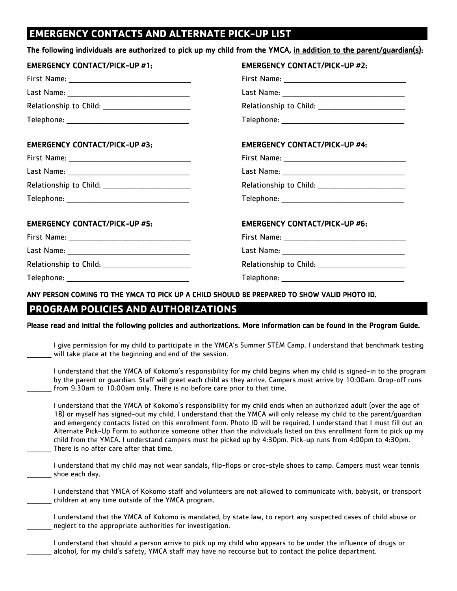# **EMERGENCY CONTACTS AND ALTERNATE PICK-UP LIST \_\_\_\_\_\_\_\_\_\_\_\_\_\_\_\_**

| <b>EMERGENCY CONTACT/PICK-UP #1:</b> | <b>EMERGENCY CONTACT/PICK-UP #2:</b> |
|--------------------------------------|--------------------------------------|
|                                      |                                      |
|                                      |                                      |
|                                      |                                      |
|                                      |                                      |
| <b>EMERGENCY CONTACT/PICK-UP #3:</b> | <b>EMERGENCY CONTACT/PICK-UP #4:</b> |
|                                      |                                      |
|                                      |                                      |
|                                      |                                      |
|                                      |                                      |
| <b>EMERGENCY CONTACT/PICK-UP #5:</b> | <b>EMERGENCY CONTACT/PICK-UP #6:</b> |
|                                      |                                      |
|                                      |                                      |
|                                      |                                      |
|                                      |                                      |

Please read and initial the following policies and authorizations. More information can be found in the Program Guide.

I give permission for my child to participate in the YMCA's Summer STEM Camp. I understand that benchmark testing will take place at the beginning and end of the session.

I understand that the YMCA of Kokomo's responsibility for my child begins when my child is signed-in to the program by the parent or guardian. Staff will greet each child as they arrive. Campers must arrive by 10:00am. Drop-off runs from 9:30am to 10:00am only. There is no before care prior to that time.

I understand that the YMCA of Kokomo's responsibility for my child ends when an authorized adult (over the age of 18) or myself has signed-out my child. I understand that the YMCA will only release my child to the parent/guardian and emergency contacts listed on this enrollment form. Photo ID will be required. I understand that I must fill out an Alternate Pick-Up Form to authorize someone other than the individuals listed on this enrollment form to pick up my child from the YMCA. I understand campers must be picked up by 4:30pm. Pick-up runs from 4:00pm to 4:30pm. There is no after care after that time.

I understand that my child may not wear sandals, flip-flops or croc-style shoes to camp. Campers must wear tennis shoe each day.

I understand that YMCA of Kokomo staff and volunteers are not allowed to communicate with, babysit, or transport children at any time outside of the YMCA program.

I understand that the YMCA of Kokomo is mandated, by state law, to report any suspected cases of child abuse or neglect to the appropriate authorities for investigation.

I understand that should a person arrive to pick up my child who appears to be under the influence of drugs or \_\_\_\_\_\_\_\_\_\_ alcohol, for my child's safety, YMCA staff may have no recourse but to contact the police department.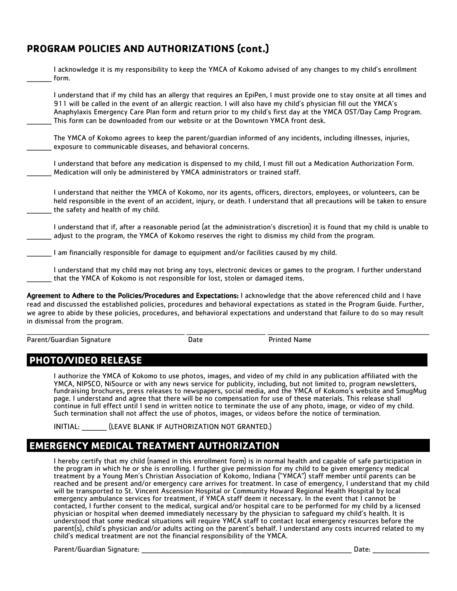### **PROGRAM POLICIES AND AUTHORIZATIONS (cont.)**

| I acknowledge it is my responsibility to keep the YMCA of Kokomo advised of any changes to my child's enrollment<br>form.                                                                                                                                                                                                                                                                                                                             |
|-------------------------------------------------------------------------------------------------------------------------------------------------------------------------------------------------------------------------------------------------------------------------------------------------------------------------------------------------------------------------------------------------------------------------------------------------------|
| I understand that if my child has an allergy that requires an EpiPen, I must provide one to stay onsite at all times and<br>911 will be called in the event of an allergic reaction. I will also have my child's physician fill out the YMCA's<br>Anaphylaxis Emergency Care Plan form and return prior to my child's first day at the YMCA OST/Day Camp Program.<br>This form can be downloaded from our website or at the Downtown YMCA front desk. |
| The YMCA of Kokomo agrees to keep the parent/guardian informed of any incidents, including illnesses, injuries,<br>exposure to communicable diseases, and behavioral concerns.                                                                                                                                                                                                                                                                        |
| I understand that before any medication is dispensed to my child, I must fill out a Medication Authorization Form.<br>Medication will only be administered by YMCA administrators or trained staff.                                                                                                                                                                                                                                                   |
| I understand that neither the YMCA of Kokomo, nor its agents, officers, directors, employees, or volunteers, can be<br>held responsible in the event of an accident, injury, or death. I understand that all precautions will be taken to ensure<br>the safety and health of my child.                                                                                                                                                                |
| I understand that if, after a reasonable period (at the administration's discretion) it is found that my child is unable to<br>adjust to the program, the YMCA of Kokomo reserves the right to dismiss my child from the program.                                                                                                                                                                                                                     |
| I am financially responsible for damage to equipment and/or facilities caused by my child.                                                                                                                                                                                                                                                                                                                                                            |
| I understand that my child may not bring any toys, electronic devices or games to the program. I further understand<br>that the YMCA of Kokomo is not responsible for lost, stolen or damaged items.                                                                                                                                                                                                                                                  |
| Agreement to Adhere to the Policies/Procedures and Expectations: I acknowledge that the above referenced child and I have                                                                                                                                                                                                                                                                                                                             |

read and discussed the established policies, procedures and behavioral expectations as stated in the Program Guide. Further, we agree to abide by these policies, procedures, and behavioral expectations and understand that failure to do so may result in dismissal from the program.

 $\mathcal{L}_\text{max}$  , and the state of the state of the state of the state of the state of the state of the state of the state of the state of the state of the state of the state of the state of the state of the state of the st

Parent/Guardian Signature The Control of Date Printed Name

# **PHOTO/VIDEO RELEASE**

I authorize the YMCA of Kokomo to use photos, images, and video of my child in any publication affiliated with the YMCA, NIPSCO, NiSource or with any news service for publicity, including, but not limited to, program newsletters, fundraising brochures, press releases to newspapers, social media, and the YMCA of Kokomo's website and SmugMug page. I understand and agree that there will be no compensation for use of these materials. This release shall continue in full effect until I send in written notice to terminate the use of any photo, image, or video of my child. Such termination shall not affect the use of photos, images, or videos before the notice of termination.

INITIAL: [LEAVE BLANK IF AUTHORIZATION NOT GRANTED.]

# **EMERGENCY MEDICAL TREATMENT AUTHORIZATION \_\_\_\_\_\_\_\_\_\_\_\_\_\_**

I hereby certify that my child (named in this enrollment form) is in normal health and capable of safe participation in<br>the program in which he or she is enrolling. I further give permission for my child to be given emerge treatment by a Young Men's Christian Association of Kokomo, Indiana ("YMCA") staff member until parents can be reached and be present and/or emergency care arrives for treatment. In case of emergency, I understand that my child will be transported to St. Vincent Ascension Hospital or Community Howard Regional Health Hospital by local emergency ambulance services for treatment, if YMCA staff deem it necessary. In the event that I cannot be contacted, I further consent to the medical, surgical and/or hospital care to be performed for my child by a licensed physician or hospital when deemed immediately necessary by the physician to safeguard my child's health. It is understood that some medical situations will require YMCA staff to contact local emergency resources before the parent(s), child's physician and/or adults acting on the parent's behalf. I understand any costs incurred related to my child's medical treatment are not the financial responsibility of the YMCA.

Parent/Guardian Signature: **Example 20** and the set of the set of the set of the set of the set of the set of the set of the set of the set of the set of the set of the set of the set of the set of the set of the set of th